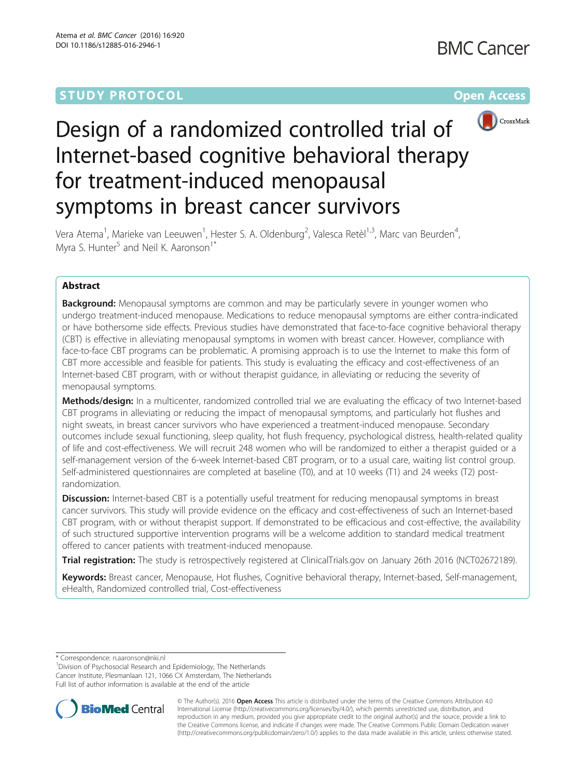## **STUDY PROTOCOL CONSUMING THE RESERVE ACCESS**



# Design of a randomized controlled trial of Internet-based cognitive behavioral therapy for treatment-induced menopausal symptoms in breast cancer survivors

Vera Atema<sup>1</sup>, Marieke van Leeuwen<sup>1</sup>, Hester S. A. Oldenburg<sup>2</sup>, Valesca Retèl<sup>1,3</sup>, Marc van Beurden<sup>4</sup> , Myra S. Hunter<sup>5</sup> and Neil K. Aaronson<sup>1\*</sup>

### Abstract

**Background:** Menopausal symptoms are common and may be particularly severe in younger women who undergo treatment-induced menopause. Medications to reduce menopausal symptoms are either contra-indicated or have bothersome side effects. Previous studies have demonstrated that face-to-face cognitive behavioral therapy (CBT) is effective in alleviating menopausal symptoms in women with breast cancer. However, compliance with face-to-face CBT programs can be problematic. A promising approach is to use the Internet to make this form of CBT more accessible and feasible for patients. This study is evaluating the efficacy and cost-effectiveness of an Internet-based CBT program, with or without therapist guidance, in alleviating or reducing the severity of menopausal symptoms.

Methods/design: In a multicenter, randomized controlled trial we are evaluating the efficacy of two Internet-based CBT programs in alleviating or reducing the impact of menopausal symptoms, and particularly hot flushes and night sweats, in breast cancer survivors who have experienced a treatment-induced menopause. Secondary outcomes include sexual functioning, sleep quality, hot flush frequency, psychological distress, health-related quality of life and cost-effectiveness. We will recruit 248 women who will be randomized to either a therapist guided or a self-management version of the 6-week Internet-based CBT program, or to a usual care, waiting list control group. Self-administered questionnaires are completed at baseline (T0), and at 10 weeks (T1) and 24 weeks (T2) postrandomization.

**Discussion:** Internet-based CBT is a potentially useful treatment for reducing menopausal symptoms in breast cancer survivors. This study will provide evidence on the efficacy and cost-effectiveness of such an Internet-based CBT program, with or without therapist support. If demonstrated to be efficacious and cost-effective, the availability of such structured supportive intervention programs will be a welcome addition to standard medical treatment offered to cancer patients with treatment-induced menopause.

Trial registration: The study is retrospectively registered at ClinicalTrials.gov on January 26th 2016 [\(NCT02672189](https://clinicaltrials.gov/ct2/show/NCT02672189)).

Keywords: Breast cancer, Menopause, Hot flushes, Cognitive behavioral therapy, Internet-based, Self-management, eHealth, Randomized controlled trial, Cost-effectiveness

<sup>&</sup>lt;sup>1</sup> Division of Psychosocial Research and Epidemiology, The Netherlands Cancer Institute, Plesmanlaan 121, 1066 CX Amsterdam, The Netherlands Full list of author information is available at the end of the article



© The Author(s). 2016 Open Access This article is distributed under the terms of the Creative Commons Attribution 4.0 International License [\(http://creativecommons.org/licenses/by/4.0/](http://creativecommons.org/licenses/by/4.0/)), which permits unrestricted use, distribution, and reproduction in any medium, provided you give appropriate credit to the original author(s) and the source, provide a link to the Creative Commons license, and indicate if changes were made. The Creative Commons Public Domain Dedication waiver [\(http://creativecommons.org/publicdomain/zero/1.0/](http://creativecommons.org/publicdomain/zero/1.0/)) applies to the data made available in this article, unless otherwise stated.

<sup>\*</sup> Correspondence: [n.aaronson@nki.nl](mailto:n.aaronson@nki.nl) <sup>1</sup>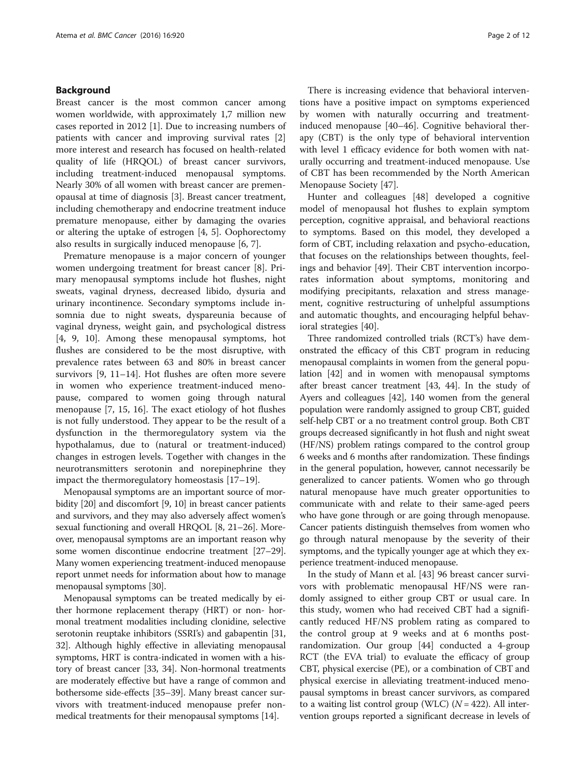#### Background

Breast cancer is the most common cancer among women worldwide, with approximately 1,7 million new cases reported in 2012 [\[1\]](#page-9-0). Due to increasing numbers of patients with cancer and improving survival rates [\[2](#page-9-0)] more interest and research has focused on health-related quality of life (HRQOL) of breast cancer survivors, including treatment-induced menopausal symptoms. Nearly 30% of all women with breast cancer are premenopausal at time of diagnosis [\[3\]](#page-9-0). Breast cancer treatment, including chemotherapy and endocrine treatment induce premature menopause, either by damaging the ovaries or altering the uptake of estrogen [\[4](#page-9-0), [5\]](#page-9-0). Oophorectomy also results in surgically induced menopause [\[6](#page-9-0), [7](#page-9-0)].

Premature menopause is a major concern of younger women undergoing treatment for breast cancer [\[8](#page-9-0)]. Primary menopausal symptoms include hot flushes, night sweats, vaginal dryness, decreased libido, dysuria and urinary incontinence. Secondary symptoms include insomnia due to night sweats, dyspareunia because of vaginal dryness, weight gain, and psychological distress [[4, 9](#page-9-0), [10](#page-9-0)]. Among these menopausal symptoms, hot flushes are considered to be the most disruptive, with prevalence rates between 63 and 80% in breast cancer survivors [\[9, 11](#page-9-0)–[14\]](#page-9-0). Hot flushes are often more severe in women who experience treatment-induced menopause, compared to women going through natural menopause [[7](#page-9-0), [15, 16](#page-9-0)]. The exact etiology of hot flushes is not fully understood. They appear to be the result of a dysfunction in the thermoregulatory system via the hypothalamus, due to (natural or treatment-induced) changes in estrogen levels. Together with changes in the neurotransmitters serotonin and norepinephrine they impact the thermoregulatory homeostasis [\[17](#page-9-0)–[19\]](#page-9-0).

Menopausal symptoms are an important source of morbidity [\[20\]](#page-9-0) and discomfort [\[9](#page-9-0), [10\]](#page-9-0) in breast cancer patients and survivors, and they may also adversely affect women's sexual functioning and overall HRQOL [[8](#page-9-0), [21](#page-9-0)–[26\]](#page-10-0). Moreover, menopausal symptoms are an important reason why some women discontinue endocrine treatment [\[27](#page-10-0)–[29](#page-10-0)]. Many women experiencing treatment-induced menopause report unmet needs for information about how to manage menopausal symptoms [\[30\]](#page-10-0).

Menopausal symptoms can be treated medically by either hormone replacement therapy (HRT) or non- hormonal treatment modalities including clonidine, selective serotonin reuptake inhibitors (SSRI's) and gabapentin [[31](#page-10-0), [32](#page-10-0)]. Although highly effective in alleviating menopausal symptoms, HRT is contra-indicated in women with a history of breast cancer [\[33, 34](#page-10-0)]. Non-hormonal treatments are moderately effective but have a range of common and bothersome side-effects [\[35](#page-10-0)–[39](#page-10-0)]. Many breast cancer survivors with treatment-induced menopause prefer nonmedical treatments for their menopausal symptoms [[14](#page-9-0)].

There is increasing evidence that behavioral interventions have a positive impact on symptoms experienced by women with naturally occurring and treatmentinduced menopause [[40](#page-10-0)–[46](#page-10-0)]. Cognitive behavioral therapy (CBT) is the only type of behavioral intervention with level 1 efficacy evidence for both women with naturally occurring and treatment-induced menopause. Use of CBT has been recommended by the North American Menopause Society [[47\]](#page-10-0).

Hunter and colleagues [[48\]](#page-10-0) developed a cognitive model of menopausal hot flushes to explain symptom perception, cognitive appraisal, and behavioral reactions to symptoms. Based on this model, they developed a form of CBT, including relaxation and psycho-education, that focuses on the relationships between thoughts, feelings and behavior [[49\]](#page-10-0). Their CBT intervention incorporates information about symptoms, monitoring and modifying precipitants, relaxation and stress management, cognitive restructuring of unhelpful assumptions and automatic thoughts, and encouraging helpful behavioral strategies [\[40\]](#page-10-0).

Three randomized controlled trials (RCT's) have demonstrated the efficacy of this CBT program in reducing menopausal complaints in women from the general population [[42](#page-10-0)] and in women with menopausal symptoms after breast cancer treatment [[43, 44](#page-10-0)]. In the study of Ayers and colleagues [\[42\]](#page-10-0), 140 women from the general population were randomly assigned to group CBT, guided self-help CBT or a no treatment control group. Both CBT groups decreased significantly in hot flush and night sweat (HF/NS) problem ratings compared to the control group 6 weeks and 6 months after randomization. These findings in the general population, however, cannot necessarily be generalized to cancer patients. Women who go through natural menopause have much greater opportunities to communicate with and relate to their same-aged peers who have gone through or are going through menopause. Cancer patients distinguish themselves from women who go through natural menopause by the severity of their symptoms, and the typically younger age at which they experience treatment-induced menopause.

In the study of Mann et al. [[43\]](#page-10-0) 96 breast cancer survivors with problematic menopausal HF/NS were randomly assigned to either group CBT or usual care. In this study, women who had received CBT had a significantly reduced HF/NS problem rating as compared to the control group at 9 weeks and at 6 months postrandomization. Our group [\[44\]](#page-10-0) conducted a 4-group RCT (the EVA trial) to evaluate the efficacy of group CBT, physical exercise (PE), or a combination of CBT and physical exercise in alleviating treatment-induced menopausal symptoms in breast cancer survivors, as compared to a waiting list control group (WLC)  $(N = 422)$ . All intervention groups reported a significant decrease in levels of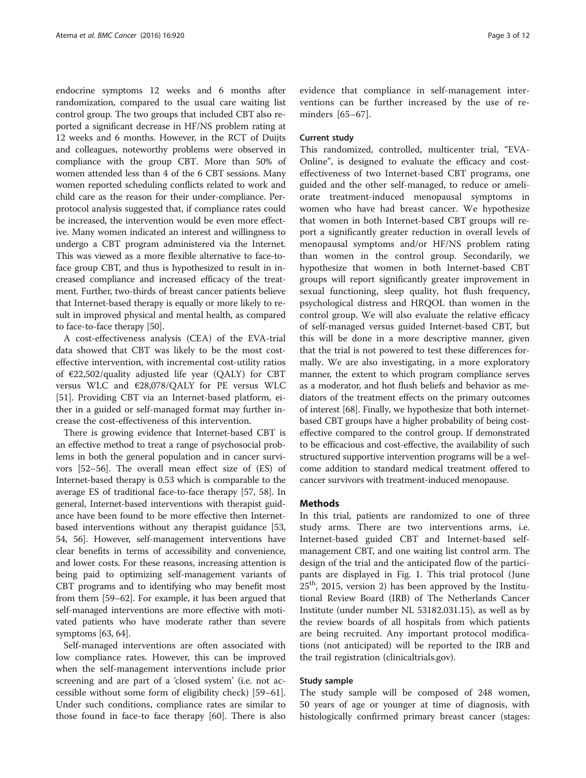endocrine symptoms 12 weeks and 6 months after randomization, compared to the usual care waiting list control group. The two groups that included CBT also reported a significant decrease in HF/NS problem rating at 12 weeks and 6 months. However, in the RCT of Duijts and colleagues, noteworthy problems were observed in compliance with the group CBT. More than 50% of women attended less than 4 of the 6 CBT sessions. Many women reported scheduling conflicts related to work and child care as the reason for their under-compliance. Perprotocol analysis suggested that, if compliance rates could be increased, the intervention would be even more effective. Many women indicated an interest and willingness to undergo a CBT program administered via the Internet. This was viewed as a more flexible alternative to face-toface group CBT, and thus is hypothesized to result in increased compliance and increased efficacy of the treatment. Further, two-thirds of breast cancer patients believe that Internet-based therapy is equally or more likely to result in improved physical and mental health, as compared to face-to-face therapy [\[50\]](#page-10-0).

A cost-effectiveness analysis (CEA) of the EVA-trial data showed that CBT was likely to be the most costeffective intervention, with incremental cost-utility ratios of €22,502/quality adjusted life year (QALY) for CBT versus WLC and €28,078/QALY for PE versus WLC [[51\]](#page-10-0). Providing CBT via an Internet-based platform, either in a guided or self-managed format may further increase the cost-effectiveness of this intervention.

There is growing evidence that Internet-based CBT is an effective method to treat a range of psychosocial problems in both the general population and in cancer survivors [\[52](#page-10-0)–[56](#page-10-0)]. The overall mean effect size of (ES) of Internet-based therapy is 0.53 which is comparable to the average ES of traditional face-to-face therapy [[57, 58\]](#page-10-0). In general, Internet-based interventions with therapist guidance have been found to be more effective then Internetbased interventions without any therapist guidance [[53](#page-10-0), [54](#page-10-0), [56](#page-10-0)]. However, self-management interventions have clear benefits in terms of accessibility and convenience, and lower costs. For these reasons, increasing attention is being paid to optimizing self-management variants of CBT programs and to identifying who may benefit most from them [[59](#page-10-0)–[62\]](#page-10-0). For example, it has been argued that self-managed interventions are more effective with motivated patients who have moderate rather than severe symptoms [[63](#page-10-0), [64\]](#page-10-0).

Self-managed interventions are often associated with low compliance rates. However, this can be improved when the self-management interventions include prior screening and are part of a 'closed system' (i.e. not accessible without some form of eligibility check) [[59](#page-10-0)–[61](#page-10-0)]. Under such conditions, compliance rates are similar to those found in face-to face therapy [\[60](#page-10-0)]. There is also

evidence that compliance in self-management interventions can be further increased by the use of reminders [[65](#page-10-0)–[67\]](#page-10-0).

#### Current study

This randomized, controlled, multicenter trial, "EVA-Online", is designed to evaluate the efficacy and costeffectiveness of two Internet-based CBT programs, one guided and the other self-managed, to reduce or ameliorate treatment-induced menopausal symptoms in women who have had breast cancer. We hypothesize that women in both Internet-based CBT groups will report a significantly greater reduction in overall levels of menopausal symptoms and/or HF/NS problem rating than women in the control group. Secondarily, we hypothesize that women in both Internet-based CBT groups will report significantly greater improvement in sexual functioning, sleep quality, hot flush frequency, psychological distress and HRQOL than women in the control group. We will also evaluate the relative efficacy of self-managed versus guided Internet-based CBT, but this will be done in a more descriptive manner, given that the trial is not powered to test these differences formally. We are also investigating, in a more exploratory manner, the extent to which program compliance serves as a moderator, and hot flush beliefs and behavior as mediators of the treatment effects on the primary outcomes of interest [\[68\]](#page-10-0). Finally, we hypothesize that both internetbased CBT groups have a higher probability of being costeffective compared to the control group. If demonstrated to be efficacious and cost-effective, the availability of such structured supportive intervention programs will be a welcome addition to standard medical treatment offered to cancer survivors with treatment-induced menopause.

#### **Methods**

In this trial, patients are randomized to one of three study arms. There are two interventions arms, i.e. Internet-based guided CBT and Internet-based selfmanagement CBT, and one waiting list control arm. The design of the trial and the anticipated flow of the participants are displayed in Fig. [1](#page-3-0). This trial protocol (June  $25<sup>th</sup>$ , 2015, version 2) has been approved by the Institutional Review Board (IRB) of The Netherlands Cancer Institute (under number NL 53182.031.15), as well as by the review boards of all hospitals from which patients are being recruited. Any important protocol modifications (not anticipated) will be reported to the IRB and the trail registration (clinicaltrials.gov).

#### Study sample

The study sample will be composed of 248 women, 50 years of age or younger at time of diagnosis, with histologically confirmed primary breast cancer (stages: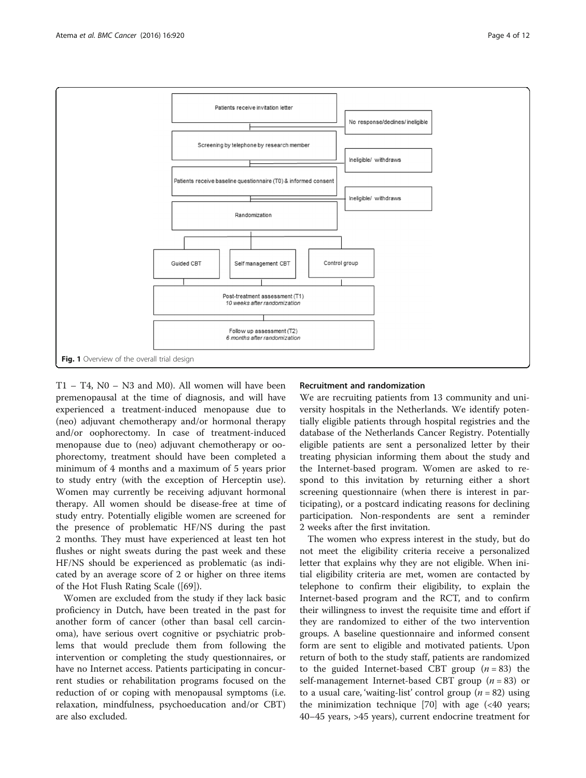<span id="page-3-0"></span>

Post-treatment assessment (T1) 10 weeks after randomization

Follow up assessment (T2) 6 months after randomization

T1 – T4, N0 – N3 and M0). All women will have been premenopausal at the time of diagnosis, and will have experienced a treatment-induced menopause due to (neo) adjuvant chemotherapy and/or hormonal therapy and/or oophorectomy. In case of treatment-induced menopause due to (neo) adjuvant chemotherapy or oophorectomy, treatment should have been completed a minimum of 4 months and a maximum of 5 years prior to study entry (with the exception of Herceptin use). Women may currently be receiving adjuvant hormonal therapy. All women should be disease-free at time of study entry. Potentially eligible women are screened for the presence of problematic HF/NS during the past 2 months. They must have experienced at least ten hot flushes or night sweats during the past week and these HF/NS should be experienced as problematic (as indicated by an average score of 2 or higher on three items of the Hot Flush Rating Scale ([[69\]](#page-10-0)).

Fig. 1 Overview of the overall trial design

Women are excluded from the study if they lack basic proficiency in Dutch, have been treated in the past for another form of cancer (other than basal cell carcinoma), have serious overt cognitive or psychiatric problems that would preclude them from following the intervention or completing the study questionnaires, or have no Internet access. Patients participating in concurrent studies or rehabilitation programs focused on the reduction of or coping with menopausal symptoms (i.e. relaxation, mindfulness, psychoeducation and/or CBT) are also excluded.

#### Recruitment and randomization

We are recruiting patients from 13 community and university hospitals in the Netherlands. We identify potentially eligible patients through hospital registries and the database of the Netherlands Cancer Registry. Potentially eligible patients are sent a personalized letter by their treating physician informing them about the study and the Internet-based program. Women are asked to respond to this invitation by returning either a short screening questionnaire (when there is interest in participating), or a postcard indicating reasons for declining participation. Non-respondents are sent a reminder 2 weeks after the first invitation.

The women who express interest in the study, but do not meet the eligibility criteria receive a personalized letter that explains why they are not eligible. When initial eligibility criteria are met, women are contacted by telephone to confirm their eligibility, to explain the Internet-based program and the RCT, and to confirm their willingness to invest the requisite time and effort if they are randomized to either of the two intervention groups. A baseline questionnaire and informed consent form are sent to eligible and motivated patients. Upon return of both to the study staff, patients are randomized to the guided Internet-based CBT group  $(n = 83)$  the self-management Internet-based CBT group ( $n = 83$ ) or to a usual care, 'waiting-list' control group  $(n = 82)$  using the minimization technique  $[70]$  $[70]$  $[70]$  with age  $(40 \text{ years})$ 40–45 years, >45 years), current endocrine treatment for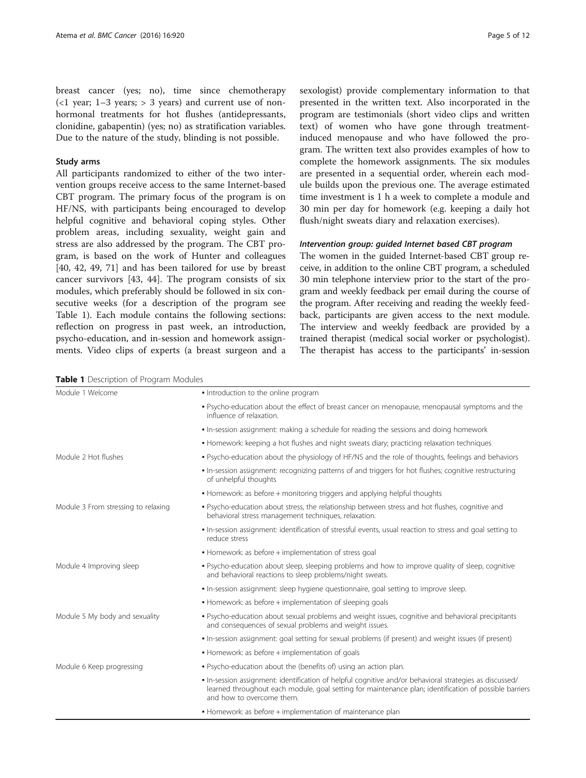breast cancer (yes; no), time since chemotherapy  $\left($  <1 year; 1–3 years; > 3 years) and current use of nonhormonal treatments for hot flushes (antidepressants, clonidine, gabapentin) (yes; no) as stratification variables. Due to the nature of the study, blinding is not possible.

#### Study arms

All participants randomized to either of the two intervention groups receive access to the same Internet-based CBT program. The primary focus of the program is on HF/NS, with participants being encouraged to develop helpful cognitive and behavioral coping styles. Other problem areas, including sexuality, weight gain and stress are also addressed by the program. The CBT program, is based on the work of Hunter and colleagues [[40, 42, 49](#page-10-0), [71](#page-11-0)] and has been tailored for use by breast cancer survivors [\[43, 44\]](#page-10-0). The program consists of six modules, which preferably should be followed in six consecutive weeks (for a description of the program see Table 1). Each module contains the following sections: reflection on progress in past week, an introduction, psycho-education, and in-session and homework assignments. Video clips of experts (a breast surgeon and a sexologist) provide complementary information to that presented in the written text. Also incorporated in the program are testimonials (short video clips and written text) of women who have gone through treatmentinduced menopause and who have followed the program. The written text also provides examples of how to complete the homework assignments. The six modules are presented in a sequential order, wherein each module builds upon the previous one. The average estimated time investment is 1 h a week to complete a module and 30 min per day for homework (e.g. keeping a daily hot flush/night sweats diary and relaxation exercises).

#### Intervention group: guided Internet based CBT program

The women in the guided Internet-based CBT group receive, in addition to the online CBT program, a scheduled 30 min telephone interview prior to the start of the program and weekly feedback per email during the course of the program. After receiving and reading the weekly feedback, participants are given access to the next module. The interview and weekly feedback are provided by a trained therapist (medical social worker or psychologist). The therapist has access to the participants' in-session

|  | <b>Table 1</b> Description of Program Modules |  |  |
|--|-----------------------------------------------|--|--|
|--|-----------------------------------------------|--|--|

| Module 1 Welcome                    | . Introduction to the online program                                                                                                                                                                                                           |  |  |
|-------------------------------------|------------------------------------------------------------------------------------------------------------------------------------------------------------------------------------------------------------------------------------------------|--|--|
|                                     | . Psycho-education about the effect of breast cancer on menopause, menopausal symptoms and the<br>influence of relaxation.                                                                                                                     |  |  |
|                                     | • In-session assignment: making a schedule for reading the sessions and doing homework                                                                                                                                                         |  |  |
|                                     | • Homework: keeping a hot flushes and night sweats diary; practicing relaxation techniques                                                                                                                                                     |  |  |
| Module 2 Hot flushes                | • Psycho-education about the physiology of HF/NS and the role of thoughts, feelings and behaviors                                                                                                                                              |  |  |
|                                     | • In-session assignment: recognizing patterns of and triggers for hot flushes; cognitive restructuring<br>of unhelpful thoughts                                                                                                                |  |  |
|                                     | • Homework: as before + monitoring triggers and applying helpful thoughts                                                                                                                                                                      |  |  |
| Module 3 From stressing to relaxing | · Psycho-education about stress, the relationship between stress and hot flushes, cognitive and<br>behavioral stress management techniques, relaxation.                                                                                        |  |  |
|                                     | • In-session assignment: identification of stressful events, usual reaction to stress and goal setting to<br>reduce stress                                                                                                                     |  |  |
|                                     | • Homework: as before + implementation of stress goal                                                                                                                                                                                          |  |  |
| Module 4 Improving sleep            | • Psycho-education about sleep, sleeping problems and how to improve quality of sleep, cognitive<br>and behavioral reactions to sleep problems/night sweats.                                                                                   |  |  |
|                                     | · In-session assignment: sleep hygiene questionnaire, goal setting to improve sleep.                                                                                                                                                           |  |  |
|                                     | • Homework: as before + implementation of sleeping goals                                                                                                                                                                                       |  |  |
| Module 5 My body and sexuality      | · Psycho-education about sexual problems and weight issues, cognitive and behavioral precipitants<br>and consequences of sexual problems and weight issues.                                                                                    |  |  |
|                                     | . In-session assignment: goal setting for sexual problems (if present) and weight issues (if present)                                                                                                                                          |  |  |
|                                     | • Homework: as before + implementation of goals                                                                                                                                                                                                |  |  |
| Module 6 Keep progressing           | . Psycho-education about the (benefits of) using an action plan.                                                                                                                                                                               |  |  |
|                                     | • In-session assignment: identification of helpful cognitive and/or behavioral strategies as discussed/<br>learned throughout each module, goal setting for maintenance plan; identification of possible barriers<br>and how to overcome them. |  |  |
|                                     | • Homework: as before + implementation of maintenance plan                                                                                                                                                                                     |  |  |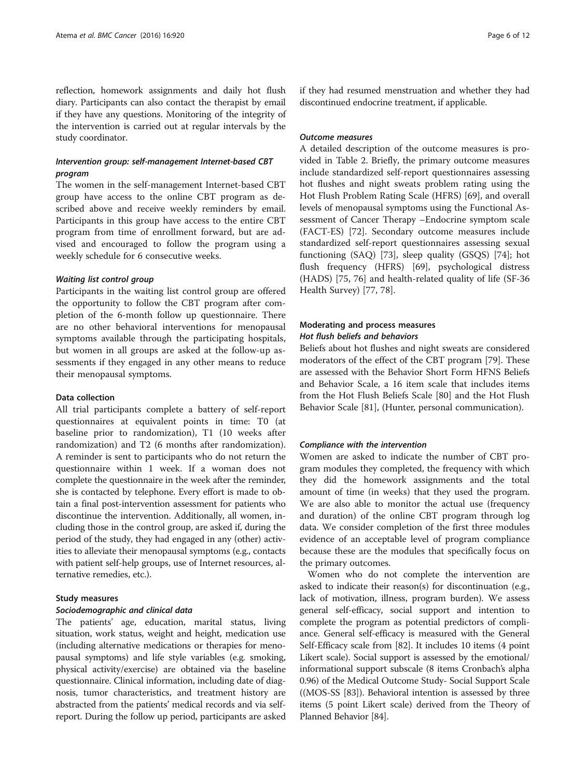reflection, homework assignments and daily hot flush diary. Participants can also contact the therapist by email if they have any questions. Monitoring of the integrity of the intervention is carried out at regular intervals by the study coordinator.

#### Intervention group: self-management Internet-based CBT program

The women in the self-management Internet-based CBT group have access to the online CBT program as described above and receive weekly reminders by email. Participants in this group have access to the entire CBT program from time of enrollment forward, but are advised and encouraged to follow the program using a weekly schedule for 6 consecutive weeks.

#### Waiting list control group

Participants in the waiting list control group are offered the opportunity to follow the CBT program after completion of the 6-month follow up questionnaire. There are no other behavioral interventions for menopausal symptoms available through the participating hospitals, but women in all groups are asked at the follow-up assessments if they engaged in any other means to reduce their menopausal symptoms.

#### Data collection

All trial participants complete a battery of self-report questionnaires at equivalent points in time: T0 (at baseline prior to randomization), T1 (10 weeks after randomization) and T2 (6 months after randomization). A reminder is sent to participants who do not return the questionnaire within 1 week. If a woman does not complete the questionnaire in the week after the reminder, she is contacted by telephone. Every effort is made to obtain a final post-intervention assessment for patients who discontinue the intervention. Additionally, all women, including those in the control group, are asked if, during the period of the study, they had engaged in any (other) activities to alleviate their menopausal symptoms (e.g., contacts with patient self-help groups, use of Internet resources, alternative remedies, etc.).

#### Study measures

#### Sociodemographic and clinical data

The patients' age, education, marital status, living situation, work status, weight and height, medication use (including alternative medications or therapies for menopausal symptoms) and life style variables (e.g. smoking, physical activity/exercise) are obtained via the baseline questionnaire. Clinical information, including date of diagnosis, tumor characteristics, and treatment history are abstracted from the patients' medical records and via selfreport. During the follow up period, participants are asked

if they had resumed menstruation and whether they had discontinued endocrine treatment, if applicable.

#### Outcome measures

A detailed description of the outcome measures is provided in Table [2.](#page-6-0) Briefly, the primary outcome measures include standardized self-report questionnaires assessing hot flushes and night sweats problem rating using the Hot Flush Problem Rating Scale (HFRS) [\[69](#page-10-0)], and overall levels of menopausal symptoms using the Functional Assessment of Cancer Therapy –Endocrine symptom scale (FACT-ES) [[72\]](#page-11-0). Secondary outcome measures include standardized self-report questionnaires assessing sexual functioning (SAQ) [[73\]](#page-11-0), sleep quality (GSQS) [\[74](#page-11-0)]; hot flush frequency (HFRS) [\[69](#page-10-0)], psychological distress (HADS) [\[75](#page-11-0), [76](#page-11-0)] and health-related quality of life (SF-36 Health Survey) [[77, 78\]](#page-11-0).

#### Moderating and process measures Hot flush beliefs and behaviors

Beliefs about hot flushes and night sweats are considered moderators of the effect of the CBT program [\[79\]](#page-11-0). These are assessed with the Behavior Short Form HFNS Beliefs and Behavior Scale, a 16 item scale that includes items from the Hot Flush Beliefs Scale [\[80\]](#page-11-0) and the Hot Flush Behavior Scale [\[81](#page-11-0)], (Hunter, personal communication).

#### Compliance with the intervention

Women are asked to indicate the number of CBT program modules they completed, the frequency with which they did the homework assignments and the total amount of time (in weeks) that they used the program. We are also able to monitor the actual use (frequency and duration) of the online CBT program through log data. We consider completion of the first three modules evidence of an acceptable level of program compliance because these are the modules that specifically focus on the primary outcomes.

Women who do not complete the intervention are asked to indicate their reason(s) for discontinuation (e.g., lack of motivation, illness, program burden). We assess general self-efficacy, social support and intention to complete the program as potential predictors of compliance. General self-efficacy is measured with the General Self-Efficacy scale from [[82](#page-11-0)]. It includes 10 items (4 point Likert scale). Social support is assessed by the emotional/ informational support subscale (8 items Cronbach's alpha 0.96) of the Medical Outcome Study- Social Support Scale ((MOS-SS [\[83\]](#page-11-0)). Behavioral intention is assessed by three items (5 point Likert scale) derived from the Theory of Planned Behavior [\[84\]](#page-11-0).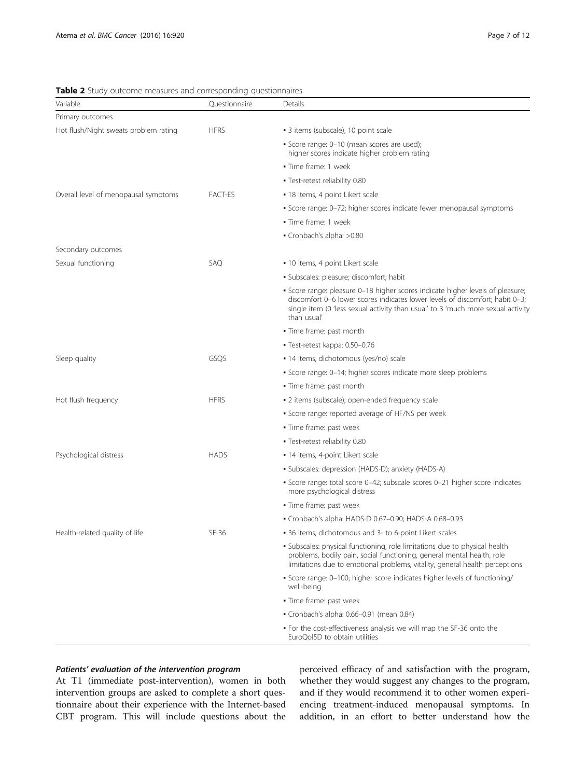<span id="page-6-0"></span>Table 2 Study outcome measures and corresponding questionnaires

| Variable                              | Questionnaire | Details                                                                                                                                                                                                                                                           |
|---------------------------------------|---------------|-------------------------------------------------------------------------------------------------------------------------------------------------------------------------------------------------------------------------------------------------------------------|
| Primary outcomes                      |               |                                                                                                                                                                                                                                                                   |
| Hot flush/Night sweats problem rating | <b>HFRS</b>   | • 3 items (subscale), 10 point scale                                                                                                                                                                                                                              |
|                                       |               | • Score range: 0-10 (mean scores are used);<br>higher scores indicate higher problem rating                                                                                                                                                                       |
|                                       |               | • Time frame: 1 week                                                                                                                                                                                                                                              |
|                                       |               | · Test-retest reliability 0.80                                                                                                                                                                                                                                    |
| Overall level of menopausal symptoms  | FACT-FS       | • 18 items, 4 point Likert scale                                                                                                                                                                                                                                  |
|                                       |               | • Score range: 0-72; higher scores indicate fewer menopausal symptoms                                                                                                                                                                                             |
|                                       |               | • Time frame: 1 week                                                                                                                                                                                                                                              |
|                                       |               | Cronbach's alpha: >0.80                                                                                                                                                                                                                                           |
| Secondary outcomes                    |               |                                                                                                                                                                                                                                                                   |
| Sexual functioning                    | SAQ           | · 10 items, 4 point Likert scale                                                                                                                                                                                                                                  |
|                                       |               | • Subscales: pleasure; discomfort; habit                                                                                                                                                                                                                          |
|                                       |               | • Score range: pleasure 0-18 higher scores indicate higher levels of pleasure;<br>discomfort 0-6 lower scores indicates lower levels of discomfort; habit 0-3;<br>single item (0 'less sexual activity than usual' to 3 'much more sexual activity<br>than usual' |
|                                       |               | · Time frame: past month                                                                                                                                                                                                                                          |
|                                       |               | · Test-retest kappa: 0.50-0.76                                                                                                                                                                                                                                    |
| Sleep quality                         | GSQS          | · 14 items, dichotomous (yes/no) scale                                                                                                                                                                                                                            |
|                                       |               | • Score range: 0-14; higher scores indicate more sleep problems                                                                                                                                                                                                   |
|                                       |               | • Time frame: past month                                                                                                                                                                                                                                          |
| Hot flush frequency                   | <b>HFRS</b>   | • 2 items (subscale); open-ended frequency scale                                                                                                                                                                                                                  |
|                                       |               | Score range: reported average of HF/NS per week                                                                                                                                                                                                                   |
|                                       |               | • Time frame: past week                                                                                                                                                                                                                                           |
|                                       |               | · Test-retest reliability 0.80                                                                                                                                                                                                                                    |
| Psychological distress                | <b>HADS</b>   | • 14 items, 4-point Likert scale                                                                                                                                                                                                                                  |
|                                       |               | • Subscales: depression (HADS-D); anxiety (HADS-A)                                                                                                                                                                                                                |
|                                       |               | • Score range: total score 0-42; subscale scores 0-21 higher score indicates<br>more psychological distress                                                                                                                                                       |
|                                       |               | • Time frame: past week                                                                                                                                                                                                                                           |
|                                       |               | • Cronbach's alpha: HADS-D 0.67-0.90; HADS-A 0.68-0.93                                                                                                                                                                                                            |
| Health-related quality of life        | SF-36         | • 36 items, dichotomous and 3- to 6-point Likert scales                                                                                                                                                                                                           |
|                                       |               | · Subscales: physical functioning, role limitations due to physical health<br>problems, bodily pain, social functioning, general mental health, role<br>limitations due to emotional problems, vitality, general health perceptions                               |
|                                       |               | • Score range: 0-100; higher score indicates higher levels of functioning/<br>well-being                                                                                                                                                                          |
|                                       |               | · Time frame: past week                                                                                                                                                                                                                                           |
|                                       |               | Cronbach's alpha: 0.66-0.91 (mean 0.84)                                                                                                                                                                                                                           |
|                                       |               | . For the cost-effectiveness analysis we will map the SF-36 onto the<br>EuroQol5D to obtain utilities                                                                                                                                                             |

#### Patients' evaluation of the intervention program

At T1 (immediate post-intervention), women in both intervention groups are asked to complete a short questionnaire about their experience with the Internet-based CBT program. This will include questions about the

perceived efficacy of and satisfaction with the program, whether they would suggest any changes to the program, and if they would recommend it to other women experiencing treatment-induced menopausal symptoms. In addition, in an effort to better understand how the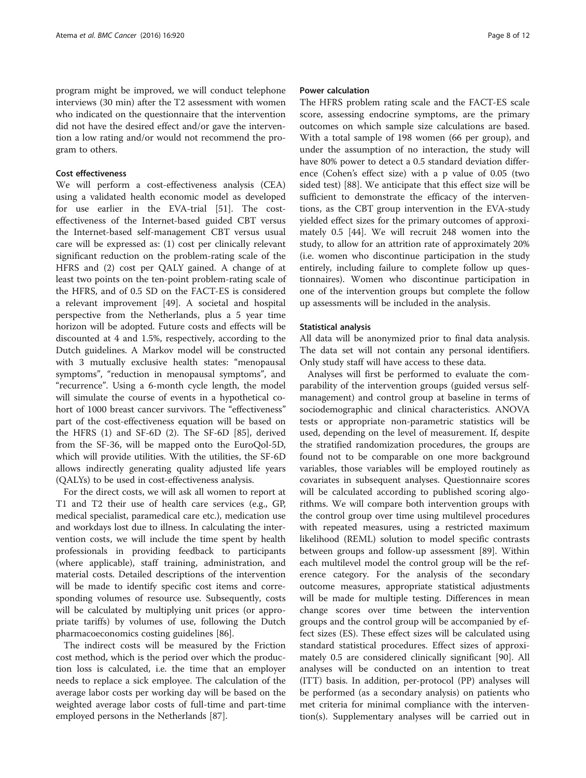program might be improved, we will conduct telephone interviews (30 min) after the T2 assessment with women who indicated on the questionnaire that the intervention did not have the desired effect and/or gave the intervention a low rating and/or would not recommend the program to others.

#### Cost effectiveness

We will perform a cost-effectiveness analysis (CEA) using a validated health economic model as developed for use earlier in the EVA-trial [[51\]](#page-10-0). The costeffectiveness of the Internet-based guided CBT versus the Internet-based self-management CBT versus usual care will be expressed as: (1) cost per clinically relevant significant reduction on the problem-rating scale of the HFRS and (2) cost per QALY gained. A change of at least two points on the ten-point problem-rating scale of the HFRS, and of 0.5 SD on the FACT-ES is considered a relevant improvement [\[49](#page-10-0)]. A societal and hospital perspective from the Netherlands, plus a 5 year time horizon will be adopted. Future costs and effects will be discounted at 4 and 1.5%, respectively, according to the Dutch guidelines. A Markov model will be constructed with 3 mutually exclusive health states: "menopausal symptoms", "reduction in menopausal symptoms", and "recurrence". Using a 6-month cycle length, the model will simulate the course of events in a hypothetical cohort of 1000 breast cancer survivors. The "effectiveness" part of the cost-effectiveness equation will be based on the HFRS (1) and SF-6D (2). The SF-6D [[85\]](#page-11-0), derived from the SF-36, will be mapped onto the EuroQol-5D, which will provide utilities. With the utilities, the SF-6D allows indirectly generating quality adjusted life years (QALYs) to be used in cost-effectiveness analysis.

For the direct costs, we will ask all women to report at T1 and T2 their use of health care services (e.g., GP, medical specialist, paramedical care etc.), medication use and workdays lost due to illness. In calculating the intervention costs, we will include the time spent by health professionals in providing feedback to participants (where applicable), staff training, administration, and material costs. Detailed descriptions of the intervention will be made to identify specific cost items and corresponding volumes of resource use. Subsequently, costs will be calculated by multiplying unit prices (or appropriate tariffs) by volumes of use, following the Dutch pharmacoeconomics costing guidelines [[86\]](#page-11-0).

The indirect costs will be measured by the Friction cost method, which is the period over which the production loss is calculated, i.e. the time that an employer needs to replace a sick employee. The calculation of the average labor costs per working day will be based on the weighted average labor costs of full-time and part-time employed persons in the Netherlands [\[87\]](#page-11-0).

#### Power calculation

The HFRS problem rating scale and the FACT-ES scale score, assessing endocrine symptoms, are the primary outcomes on which sample size calculations are based. With a total sample of 198 women (66 per group), and under the assumption of no interaction, the study will have 80% power to detect a 0.5 standard deviation difference (Cohen's effect size) with a p value of 0.05 (two sided test) [[88\]](#page-11-0). We anticipate that this effect size will be sufficient to demonstrate the efficacy of the interventions, as the CBT group intervention in the EVA-study yielded effect sizes for the primary outcomes of approximately 0.5 [\[44](#page-10-0)]. We will recruit 248 women into the study, to allow for an attrition rate of approximately 20% (i.e. women who discontinue participation in the study entirely, including failure to complete follow up questionnaires). Women who discontinue participation in one of the intervention groups but complete the follow up assessments will be included in the analysis.

#### Statistical analysis

All data will be anonymized prior to final data analysis. The data set will not contain any personal identifiers. Only study staff will have access to these data.

Analyses will first be performed to evaluate the comparability of the intervention groups (guided versus selfmanagement) and control group at baseline in terms of sociodemographic and clinical characteristics. ANOVA tests or appropriate non-parametric statistics will be used, depending on the level of measurement. If, despite the stratified randomization procedures, the groups are found not to be comparable on one more background variables, those variables will be employed routinely as covariates in subsequent analyses. Questionnaire scores will be calculated according to published scoring algorithms. We will compare both intervention groups with the control group over time using multilevel procedures with repeated measures, using a restricted maximum likelihood (REML) solution to model specific contrasts between groups and follow-up assessment [\[89](#page-11-0)]. Within each multilevel model the control group will be the reference category. For the analysis of the secondary outcome measures, appropriate statistical adjustments will be made for multiple testing. Differences in mean change scores over time between the intervention groups and the control group will be accompanied by effect sizes (ES). These effect sizes will be calculated using standard statistical procedures. Effect sizes of approximately 0.5 are considered clinically significant [\[90\]](#page-11-0). All analyses will be conducted on an intention to treat (ITT) basis. In addition, per-protocol (PP) analyses will be performed (as a secondary analysis) on patients who met criteria for minimal compliance with the intervention(s). Supplementary analyses will be carried out in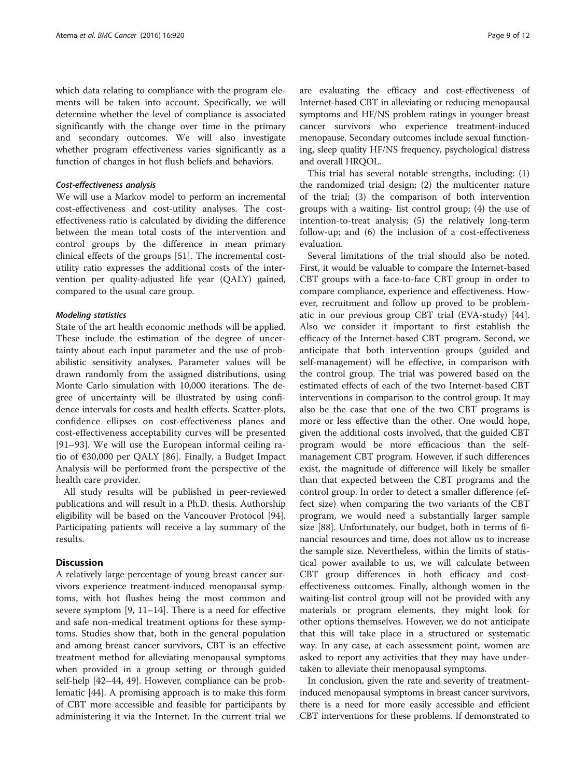which data relating to compliance with the program elements will be taken into account. Specifically, we will determine whether the level of compliance is associated significantly with the change over time in the primary and secondary outcomes. We will also investigate whether program effectiveness varies significantly as a function of changes in hot flush beliefs and behaviors.

#### Cost-effectiveness analysis

We will use a Markov model to perform an incremental cost-effectiveness and cost-utility analyses. The costeffectiveness ratio is calculated by dividing the difference between the mean total costs of the intervention and control groups by the difference in mean primary clinical effects of the groups [[51](#page-10-0)]. The incremental costutility ratio expresses the additional costs of the intervention per quality-adjusted life year (QALY) gained, compared to the usual care group.

#### Modeling statistics

State of the art health economic methods will be applied. These include the estimation of the degree of uncertainty about each input parameter and the use of probabilistic sensitivity analyses. Parameter values will be drawn randomly from the assigned distributions, using Monte Carlo simulation with 10,000 iterations. The degree of uncertainty will be illustrated by using confidence intervals for costs and health effects. Scatter-plots, confidence ellipses on cost-effectiveness planes and cost-effectiveness acceptability curves will be presented [[91](#page-11-0)–[93\]](#page-11-0). We will use the European informal ceiling ratio of €30,000 per QALY [[86\]](#page-11-0). Finally, a Budget Impact Analysis will be performed from the perspective of the health care provider.

All study results will be published in peer-reviewed publications and will result in a Ph.D. thesis. Authorship eligibility will be based on the Vancouver Protocol [\[94](#page-11-0)]. Participating patients will receive a lay summary of the results.

#### **Discussion**

A relatively large percentage of young breast cancer survivors experience treatment-induced menopausal symptoms, with hot flushes being the most common and severe symptom [[9, 11](#page-9-0)–[14\]](#page-9-0). There is a need for effective and safe non-medical treatment options for these symptoms. Studies show that, both in the general population and among breast cancer survivors, CBT is an effective treatment method for alleviating menopausal symptoms when provided in a group setting or through guided self-help [[42](#page-10-0)–[44](#page-10-0), [49](#page-10-0)]. However, compliance can be problematic [[44\]](#page-10-0). A promising approach is to make this form of CBT more accessible and feasible for participants by administering it via the Internet. In the current trial we are evaluating the efficacy and cost-effectiveness of Internet-based CBT in alleviating or reducing menopausal symptoms and HF/NS problem ratings in younger breast cancer survivors who experience treatment-induced menopause. Secondary outcomes include sexual functioning, sleep quality HF/NS frequency, psychological distress and overall HRQOL.

This trial has several notable strengths, including: (1) the randomized trial design; (2) the multicenter nature of the trial; (3) the comparison of both intervention groups with a waiting- list control group; (4) the use of intention-to-treat analysis; (5) the relatively long-term follow-up; and (6) the inclusion of a cost-effectiveness evaluation.

Several limitations of the trial should also be noted. First, it would be valuable to compare the Internet-based CBT groups with a face-to-face CBT group in order to compare compliance, experience and effectiveness. However, recruitment and follow up proved to be problematic in our previous group CBT trial (EVA-study) [\[44](#page-10-0)]. Also we consider it important to first establish the efficacy of the Internet-based CBT program. Second, we anticipate that both intervention groups (guided and self-management) will be effective, in comparison with the control group. The trial was powered based on the estimated effects of each of the two Internet-based CBT interventions in comparison to the control group. It may also be the case that one of the two CBT programs is more or less effective than the other. One would hope, given the additional costs involved, that the guided CBT program would be more efficacious than the selfmanagement CBT program. However, if such differences exist, the magnitude of difference will likely be smaller than that expected between the CBT programs and the control group. In order to detect a smaller difference (effect size) when comparing the two variants of the CBT program, we would need a substantially larger sample size [\[88](#page-11-0)]. Unfortunately, our budget, both in terms of financial resources and time, does not allow us to increase the sample size. Nevertheless, within the limits of statistical power available to us, we will calculate between CBT group differences in both efficacy and costeffectiveness outcomes. Finally, although women in the waiting-list control group will not be provided with any materials or program elements, they might look for other options themselves. However, we do not anticipate that this will take place in a structured or systematic way. In any case, at each assessment point, women are asked to report any activities that they may have undertaken to alleviate their menopausal symptoms.

In conclusion, given the rate and severity of treatmentinduced menopausal symptoms in breast cancer survivors, there is a need for more easily accessible and efficient CBT interventions for these problems. If demonstrated to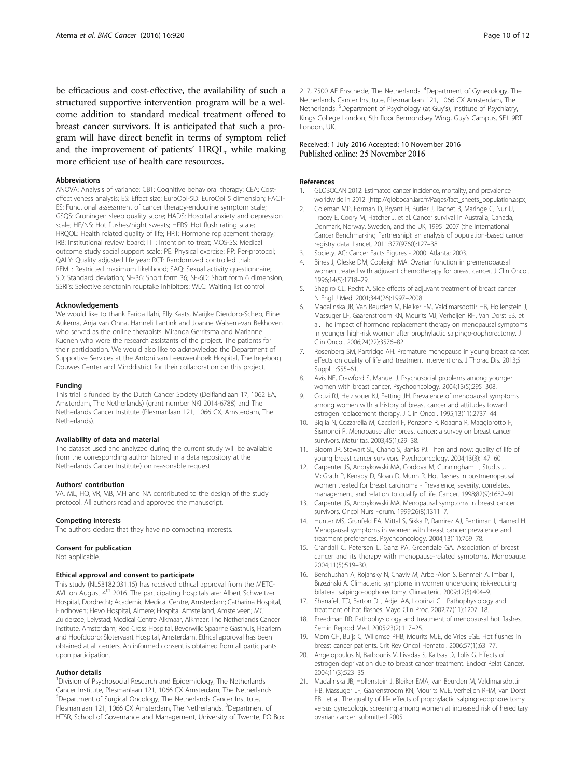<span id="page-9-0"></span>be efficacious and cost-effective, the availability of such a structured supportive intervention program will be a welcome addition to standard medical treatment offered to breast cancer survivors. It is anticipated that such a program will have direct benefit in terms of symptom relief and the improvement of patients' HRQL, while making more efficient use of health care resources.

#### **Abbreviations**

ANOVA: Analysis of variance; CBT: Cognitive behavioral therapy; CEA: Costeffectiveness analysis; ES: Effect size; EuroQol-5D: EuroQol 5 dimension; FACT-ES: Functional assessment of cancer therapy-endocrine symptom scale; GSQS: Groningen sleep quality score; HADS: Hospital anxiety and depression scale; HF/NS: Hot flushes/night sweats; HFRS: Hot flush rating scale; HRQOL: Health related quality of life; HRT: Hormone replacement therapy; IRB: Institutional review board; ITT: Intention to treat; MOS-SS: Medical outcome study social support scale; PE: Physical exercise; PP: Per-protocol; QALY: Quality adjusted life year; RCT: Randomized controlled trial; REML: Restricted maximum likelihood; SAQ: Sexual activity questionnaire; SD: Standard deviation; SF-36: Short form 36; SF-6D: Short form 6 dimension; SSRI's: Selective serotonin reuptake inhibitors; WLC: Waiting list control

#### Acknowledgements

We would like to thank Farida Ilahi, Elly Kaats, Marijke Dierdorp-Schep, Eline Aukema, Anja van Onna, Hanneli Lantink and Joanne Walsem-van Bekhoven who served as the online therapists. Miranda Gerritsma and Marianne Kuenen who were the research assistants of the project. The patients for their participation. We would also like to acknowledge the Department of Supportive Services at the Antoni van Leeuwenhoek Hospital, The Ingeborg Douwes Center and Minddistrict for their collaboration on this project.

#### Funding

This trial is funded by the Dutch Cancer Society (Delflandlaan 17, 1062 EA, Amsterdam, The Netherlands) (grant number NKI 2014-6788) and The Netherlands Cancer Institute (Plesmanlaan 121, 1066 CX, Amsterdam, The Netherlands).

#### Availability of data and material

The dataset used and analyzed during the current study will be available from the corresponding author (stored in a data repository at the Netherlands Cancer Institute) on reasonable request.

#### Authors' contribution

VA, ML, HO, VR, MB, MH and NA contributed to the design of the study protocol. All authors read and approved the manuscript.

#### Competing interests

The authors declare that they have no competing interests.

#### Consent for publication

Not applicable.

#### Ethical approval and consent to participate

This study (NL53182.031.15) has received ethical approval from the METC-AVL on August  $4<sup>th</sup>$  2016. The participating hospitals are: Albert Schweitzer Hospital, Dordrecht; Academic Medical Centre, Amsterdam; Catharina Hospital, Eindhoven; Flevo Hospital, Almere; Hospital Amstelland, Amstelveen; MC Zuiderzee, Lelystad; Medical Centre Alkmaar, Alkmaar; The Netherlands Cancer Institute, Amsterdam; Red Cross Hospital, Beverwijk; Spaarne Gasthuis, Haarlem and Hoofddorp; Slotervaart Hospital, Amsterdam. Ethical approval has been obtained at all centers. An informed consent is obtained from all participants upon participation.

#### Author details

<sup>1</sup> Division of Psychosocial Research and Epidemiology, The Netherlands Cancer Institute, Plesmanlaan 121, 1066 CX Amsterdam, The Netherlands. <sup>2</sup>Department of Surgical Oncology, The Netherlands Cancer Institute, Plesmanlaan 121, 1066 CX Amsterdam, The Netherlands. <sup>3</sup>Department of HTSR, School of Governance and Management, University of Twente, PO Box

#### Received: 1 July 2016 Accepted: 10 November 2016 Published online: 25 November 2016

#### References

London, UK.

- 1. GLOBOCAN 2012: Estimated cancer incidence, mortality, and prevalence worldwide in 2012. [\[http://globocan.iarc.fr/Pages/fact\\_sheets\\_population.aspx\]](http://globocan.iarc.fr/Pages/fact_sheets_population.aspx)
- 2. Coleman MP, Forman D, Bryant H, Butler J, Rachet B, Maringe C, Nur U, Tracey E, Coory M, Hatcher J, et al. Cancer survival in Australia, Canada, Denmark, Norway, Sweden, and the UK, 1995–2007 (the International Cancer Benchmarking Partnership): an analysis of population-based cancer registry data. Lancet. 2011;377(9760):127–38.
- 3. Society. AC: Cancer Facts Figures 2000. Atlanta; 2003.
- 4. Bines J, Oleske DM, Cobleigh MA. Ovarian function in premenopausal women treated with adjuvant chemotherapy for breast cancer. J Clin Oncol. 1996;14(5):1718–29.
- 5. Shapiro CL, Recht A. Side effects of adjuvant treatment of breast cancer. N Engl J Med. 2001;344(26):1997–2008.
- 6. Madalinska JB, Van Beurden M, Bleiker EM, Valdimarsdottir HB, Hollenstein J, Massuger LF, Gaarenstroom KN, Mourits MJ, Verheijen RH, Van Dorst EB, et al. The impact of hormone replacement therapy on menopausal symptoms in younger high-risk women after prophylactic salpingo-oophorectomy. J Clin Oncol. 2006;24(22):3576–82.
- 7. Rosenberg SM, Partridge AH. Premature menopause in young breast cancer: effects on quality of life and treatment interventions. J Thorac Dis. 2013;5 Suppl 1:S55–61.
- Avis NE, Crawford S, Manuel J. Psychosocial problems among younger women with breast cancer. Psychooncology. 2004;13(5):295–308.
- 9. Couzi RJ, Helzlsouer KJ, Fetting JH. Prevalence of menopausal symptoms among women with a history of breast cancer and attitudes toward estrogen replacement therapy. J Clin Oncol. 1995;13(11):2737–44.
- 10. Biglia N, Cozzarella M, Cacciari F, Ponzone R, Roagna R, Maggiorotto F, Sismondi P. Menopause after breast cancer: a survey on breast cancer survivors. Maturitas. 2003;45(1):29–38.
- 11. Bloom JR, Stewart SL, Chang S, Banks PJ. Then and now: quality of life of young breast cancer survivors. Psychooncology. 2004;13(3):147–60.
- 12. Carpenter JS, Andrykowski MA, Cordova M, Cunningham L, Studts J, McGrath P, Kenady D, Sloan D, Munn R. Hot flashes in postmenopausal women treated for breast carcinoma - Prevalence, severity, correlates, management, and relation to qualify of life. Cancer. 1998;82(9):1682–91.
- 13. Carpenter JS, Andrykowski MA. Menopausal symptoms in breast cancer survivors. Oncol Nurs Forum. 1999;26(8):1311–7.
- 14. Hunter MS, Grunfeld EA, Mittal S, Sikka P, Ramirez AJ, Fentiman I, Hamed H. Menopausal symptoms in women with breast cancer: prevalence and treatment preferences. Psychooncology. 2004;13(11):769–78.
- 15. Crandall C, Petersen L, Ganz PA, Greendale GA. Association of breast cancer and its therapy with menopause-related symptoms. Menopause. 2004;11(5):519–30.
- 16. Benshushan A, Rojansky N, Chaviv M, Arbel-Alon S, Benmeir A, Imbar T, Brzezinski A. Climacteric symptoms in women undergoing risk-reducing bilateral salpingo-oophorectomy. Climacteric. 2009;12(5):404–9.
- 17. Shanafelt TD, Barton DL, Adjei AA, Loprinzi CL. Pathophysiology and treatment of hot flashes. Mayo Clin Proc. 2002;77(11):1207–18.
- 18. Freedman RR. Pathophysiology and treatment of menopausal hot flashes. Semin Reprod Med. 2005;23(2):117–25.
- 19. Mom CH, Buijs C, Willemse PHB, Mourits MJE, de Vries EGE. Hot flushes in breast cancer patients. Crit Rev Oncol Hematol. 2006;57(1):63–77.
- 20. Angelopoulos N, Barbounis V, Livadas S, Kaltsas D, Tolis G. Effects of estrogen deprivation due to breast cancer treatment. Endocr Relat Cancer. 2004;11(3):523–35.
- 21. Madalinska JB, Hollenstein J, Bleiker EMA, van Beurden M, Valdimarsdottir HB, Massuger LF, Gaarenstroom KN, Mourits MJE, Verheijen RHM, van Dorst EBL et al. The quality of life effects of prophylactic salpingo-oophorectomy versus gynecologic screening among women at increased risk of hereditary ovarian cancer. submitted 2005.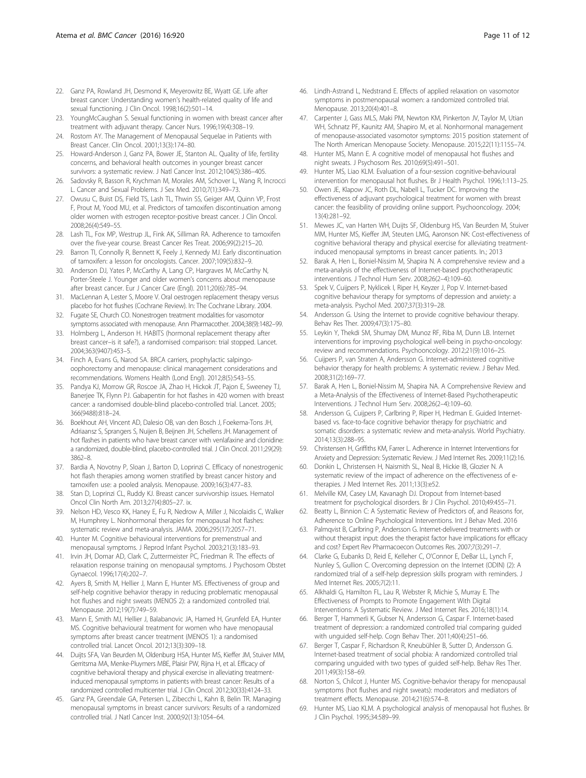- <span id="page-10-0"></span>22. Ganz PA, Rowland JH, Desmond K, Meyerowitz BE, Wyatt GE. Life after breast cancer: Understanding women's health-related quality of life and sexual functioning. J Clin Oncol. 1998;16(2):501–14.
- 23. YoungMcCaughan S. Sexual functioning in women with breast cancer after treatment with adjuvant therapy. Cancer Nurs. 1996;19(4):308–19.
- 24. Rostom AY. The Management of Menopausal Sequelae in Patients with Breast Cancer. Clin Oncol. 2001;13(3):174–80.
- 25. Howard-Anderson J, Ganz PA, Bower JE, Stanton AL. Quality of life, fertility concerns, and behavioral health outcomes in younger breast cancer survivors: a systematic review. J Natl Cancer Inst. 2012;104(5):386–405.
- Sadovsky R, Basson R, Krychman M, Morales AM, Schover L, Wang R, Incrocci L. Cancer and Sexual Problems. J Sex Med. 2010;7(1):349–73.
- 27. Owusu C, Buist DS, Field TS, Lash TL, Thwin SS, Geiger AM, Quinn VP, Frost F, Prout M, Yood MU, et al. Predictors of tamoxifen discontinuation among older women with estrogen receptor-positive breast cancer. J Clin Oncol. 2008;26(4):549–55.
- 28. Lash TL, Fox MP, Westrup JL, Fink AK, Silliman RA. Adherence to tamoxifen over the five-year course. Breast Cancer Res Treat. 2006;99(2):215–20.
- 29. Barron TI, Connolly R, Bennett K, Feely J, Kennedy MJ. Early discontinuation of tamoxifen: a lesson for oncologists. Cancer. 2007;109(5):832–9.
- 30. Anderson DJ, Yates P, McCarthy A, Lang CP, Hargraves M, McCarthy N, Porter-Steele J. Younger and older women's concerns about menopause after breast cancer. Eur J Cancer Care (Engl). 2011;20(6):785–94.
- 31. MacLennan A, Lester S, Moore V. Oral oestrogen replacement therapy versus placebo for hot flushes (Cochrane Review). In: The Cochrane Library. 2004.
- 32. Fugate SE, Church CO. Nonestrogen treatment modalities for vasomotor symptoms associated with menopause. Ann Pharmacother. 2004;38(9):1482–99.
- 33. Holmberg L, Anderson H. HABITS (hormonal replacement therapy after breast cancer–is it safe?), a randomised comparison: trial stopped. Lancet. 2004;363(9407):453–5.
- 34. Finch A, Evans G, Narod SA. BRCA carriers, prophylactic salpingooophorectomy and menopause: clinical management considerations and recommendations. Womens Health (Lond Engl). 2012;8(5):543–55.
- 35. Pandya KJ, Morrow GR, Roscoe JA, Zhao H, Hickok JT, Pajon E, Sweeney TJ, Banerjee TK, Flynn PJ. Gabapentin for hot flashes in 420 women with breast cancer: a randomised double-blind placebo-controlled trial. Lancet. 2005; 366(9488):818–24.
- 36. Boekhout AH, Vincent AD, Dalesio OB, van den Bosch J, Foekema-Tons JH, Adriaansz S, Sprangers S, Nuijen B, Beijnen JH, Schellens JH. Management of hot flashes in patients who have breast cancer with venlafaxine and clonidine: a randomized, double-blind, placebo-controlled trial. J Clin Oncol. 2011;29(29): 3862–8.
- 37. Bardia A, Novotny P, Sloan J, Barton D, Loprinzi C. Efficacy of nonestrogenic hot flash therapies among women stratified by breast cancer history and tamoxifen use: a pooled analysis. Menopause. 2009;16(3):477–83.
- 38. Stan D, Loprinzi CL, Ruddy KJ. Breast cancer survivorship issues. Hematol Oncol Clin North Am. 2013;27(4):805–27. ix.
- 39. Nelson HD, Vesco KK, Haney E, Fu R, Nedrow A, Miller J, Nicolaidis C, Walker M, Humphrey L. Nonhormonal therapies for menopausal hot flashes: systematic review and meta-analysis. JAMA. 2006;295(17):2057–71.
- 40. Hunter M. Cognitive behavioural interventions for premenstrual and menopausal symptoms. J Reprod Infant Psychol. 2003;21(3):183–93.
- 41. Irvin JH, Domar AD, Clark C, Zuttermeister PC, Friedman R. The effects of relaxation response training on menopausal symptoms. J Psychosom Obstet Gynaecol. 1996;17(4):202–7.
- 42. Ayers B, Smith M, Hellier J, Mann E, Hunter MS. Effectiveness of group and self-help cognitive behavior therapy in reducing problematic menopausal hot flushes and night sweats (MENOS 2): a randomized controlled trial. Menopause. 2012;19(7):749–59.
- 43. Mann E, Smith MJ, Hellier J, Balabanovic JA, Hamed H, Grunfeld EA, Hunter MS. Cognitive behavioural treatment for women who have menopausal symptoms after breast cancer treatment (MENOS 1): a randomised controlled trial. Lancet Oncol. 2012;13(3):309–18.
- 44. Duijts SFA, Van Beurden M, Oldenburg HSA, Hunter MS, Kieffer JM, Stuiver MM, Gerritsma MA, Menke-Pluymers MBE, Plaisir PW, Rijna H, et al. Efficacy of cognitive behavioral therapy and physical exercise in alleviating treatmentinduced menopausal symptoms in patients with breast cancer: Results of a randomized controlled multicenter trial. J Clin Oncol. 2012;30(33):4124–33.
- 45. Ganz PA, Greendale GA, Petersen L, Zibecchi L, Kahn B, Belin TR. Managing menopausal symptoms in breast cancer survivors: Results of a randomized controlled trial. J Natl Cancer Inst. 2000;92(13):1054–64.
- 46. Lindh-Astrand L, Nedstrand E. Effects of applied relaxation on vasomotor symptoms in postmenopausal women: a randomized controlled trial. Menopause. 2013;20(4):401–8.
- 47. Carpenter J, Gass MLS, Maki PM, Newton KM, Pinkerton JV, Taylor M, Utian WH, Schnatz PF, Kaunitz AM, Shapiro M, et al. Nonhormonal management of menopause-associated vasomotor symptoms: 2015 position statement of The North American Menopause Society. Menopause. 2015;22(11):1155–74.
- 48. Hunter MS, Mann E. A cognitive model of menopausal hot flushes and night sweats. J Psychosom Res. 2010;69(5):491–501.
- 49. Hunter MS, Liao KLM. Evaluation of a four-session cognitive-behavioural intervention for menopausal hot flushes. Br J Health Psychol. 1996;1:113–25.
- 50. Owen JE, Klapow JC, Roth DL, Nabell L, Tucker DC. Improving the effectiveness of adjuvant psychological treatment for women with breast cancer: the feasibility of providing online support. Psychooncology. 2004; 13(4):281–92.
- 51. Mewes JC, van Harten WH, Duijts SF, Oldenburg HS, Van Beurden M, Stuiver MM, Hunter MS, Kieffer JM, Steuten LMG, Aaronson NK: Cost-effectiveness of cognitive behavioral therapy and physical exercise for alleviating treatmentinduced menopausal symptoms in breast cancer patients. In.; 2013
- 52. Barak A, Hen L, Boniel-Nissim M, Shapira N. A comprehensive review and a meta-analysis of the effectiveness of Internet-based psychotherapeutic interventions. J Technol Hum Serv. 2008;26(2–4):109–60.
- 53. Spek V, Cuijpers P, Nyklicek I, Riper H, Keyzer J, Pop V. Internet-based cognitive behaviour therapy for symptoms of depression and anxiety: a meta-analysis. Psychol Med. 2007;37(3):319–28.
- 54. Andersson G. Using the Internet to provide cognitive behaviour therapy. Behav Res Ther. 2009;47(3):175–80.
- 55. Leykin Y, Thekdi SM, Shumay DM, Munoz RF, Riba M, Dunn LB. Internet interventions for improving psychological well-being in psycho-oncology: review and recommendations. Psychooncology. 2012;21(9):1016–25.
- 56. Cuijpers P, van Straten A, Andersson G. Internet-administered cognitive behavior therapy for health problems: A systematic review. J Behav Med. 2008;31(2):169–77.
- 57. Barak A, Hen L, Boniel-Nissim M, Shapira NA. A Comprehensive Review and a Meta-Analysis of the Effectiveness of Internet-Based Psychotherapeutic Interventions. J Technol Hum Serv. 2008;26(2–4):109–60.
- 58. Andersson G, Cuijpers P, Carlbring P, Riper H, Hedman E. Guided Internetbased vs. face-to-face cognitive behavior therapy for psychiatric and somatic disorders: a systematic review and meta-analysis. World Psychiatry. 2014;13(3):288–95.
- 59. Christensen H, Griffiths KM, Farrer L. Adherence in Internet Interventions for Anxiety and Depression: Systematic Review. J Med Internet Res. 2009;11(2):16.
- 60. Donkin L, Christensen H, Naismith SL, Neal B, Hickie IB, Glozier N. A systematic review of the impact of adherence on the effectiveness of etherapies. J Med Internet Res. 2011;13(3):e52.
- 61. Melville KM, Casey LM, Kavanagh DJ. Dropout from Internet-based treatment for psychological disorders. Br J Clin Psychol. 2010;49:455–71.
- 62. Beatty L, Binnion C: A Systematic Review of Predictors of, and Reasons for, Adherence to Online Psychological Interventions. Int J Behav Med. 2016
- 63. Palmqvist B, Carlbring P, Andersson G. Internet-delivered treatments with or without therapist input: does the therapist factor have implications for efficacy and cost? Expert Rev Pharmacoecon Outcomes Res. 2007;7(3):291–7.
- 64. Clarke G, Eubanks D, Reid E, Kelleher C, O'Connor E, DeBar LL, Lynch F, Nunley S, Gullion C. Overcoming depression on the Internet (ODIN) (2): A randomized trial of a self-help depression skills program with reminders. J Med Internet Res. 2005;7(2):11.
- 65. Alkhaldi G, Hamilton FL, Lau R, Webster R, Michie S, Murray E. The Effectiveness of Prompts to Promote Engagement With Digital Interventions: A Systematic Review. J Med Internet Res. 2016;18(1):14.
- 66. Berger T, Hammerli K, Gubser N, Andersson G, Caspar F. Internet-based treatment of depression: a randomized controlled trial comparing guided with unguided self-help. Cogn Behav Ther. 2011;40(4):251–66.
- 67. Berger T, Caspar F, Richardson R, Kneubühler B, Sutter D, Andersson G. Internet-based treatment of social phobia: A randomized controlled trial comparing unguided with two types of guided self-help. Behav Res Ther. 2011;49(3):158–69.
- 68. Norton S, Chilcot J, Hunter MS. Cognitive-behavior therapy for menopausal symptoms (hot flushes and night sweats): moderators and mediators of treatment effects. Menopause. 2014;21(6):574–8.
- 69. Hunter MS, Liao KLM. A psychological analysis of menopausal hot flushes. Br J Clin Psychol. 1995;34:589–99.